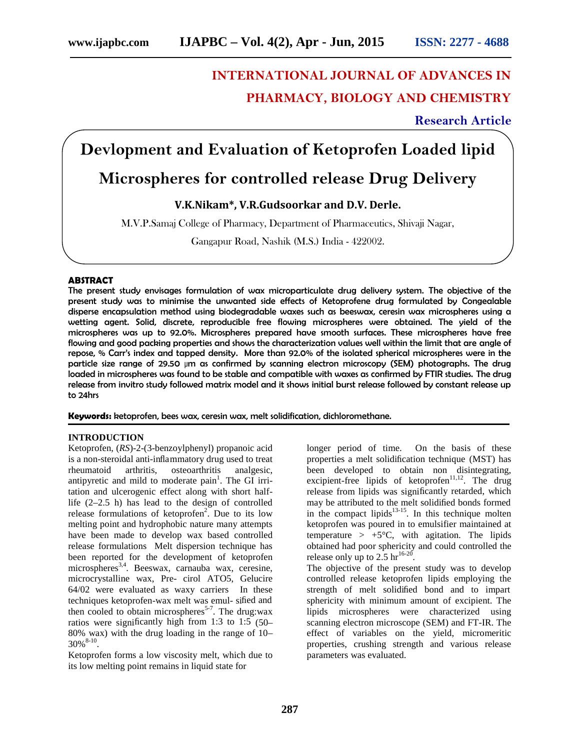# **INTERNATIONAL JOURNAL OF ADVANCES IN PHARMACY, BIOLOGY AND CHEMISTRY**

**Research Article**

# **Devlopment and Evaluation of Ketoprofen Loaded lipid**

# **Microspheres for controlled release Drug Delivery**

## **V.K.Nikam\*, V.R.Gudsoorkar and D.V. Derle.**

M.V.P.Samaj College of Pharmacy, Department of Pharmaceutics, Shivaji Nagar,

Gangapur Road, Nashik (M.S.) India - 422002.

#### **ABSTRACT**

The present study envisages formulation of wax microparticulate drug delivery system. The objective of the present study was to minimise the unwanted side effects of Ketoprofene drug formulated by Congealable disperse encapsulation method using biodegradable waxes such as beeswax, ceresin wax microspheres using a wetting agent. Solid, discrete, reproducible free flowing microspheres were obtained. The yield of the microspheres was up to 92.0%. Microspheres prepared have smooth surfaces. These microspheres have free flowing and good packing properties and shows the characterization values well within the limit that are angle of repose, % Carr's index and tapped density. More than 92.0% of the isolated spherical microspheres were in the particle size range of 29.50 µm as confirmed by scanning electron microscopy (SEM) photographs. The drug loaded in microspheres was found to be stable and compatible with waxes as confirmed by FTIR studies. The drug release from invitro study followed matrix model and it shows initial burst release followed by constant release up to 24hrs

**Keywords:** ketoprofen, bees wax, ceresin wax, melt solidification, dichloromethane.

#### **INTRODUCTION**

Ketoprofen, (*RS*)-2-(3-benzoylphenyl) propanoic acid is a non-steroidal anti-inflammatory drug used to treat rheumatoid arthritis, osteoarthritis analgesic, antipyretic and mild to moderate  $\text{pain}^1$ . The GI irritation and ulcerogenic effect along with short halflife (2–2.5 h) has lead to the design of controlled release formulations of ketoprofen<sup>2</sup>. Due to its low in the melting point and hydrophobic nature many attempts have been made to develop wax based controlled release formulations Melt dispersion technique has been reported for the development of ketoprofen microspheres<sup>3,4</sup>. Beeswax, carnauba wax, ceresine, microcrystalline wax, Pre- cirol ATO5, Gelucire 64/02 were evaluated as waxy carriers In these techniques ketoprofen-wax melt was emul- sified and then cooled to obtain microspheres<sup>5-7</sup>. The drug:wax ratios were significantly high from 1:3 to 1:5 (50– 80% wax) with the drug loading in the range of 10–  $30\%$ <sup>8-10</sup>. .

Ketoprofen forms a low viscosity melt, which due to its low melting point remains in liquid state for

longer period of time. On the basis of these properties a melt solidification technique (MST) has been developed to obtain non disintegrating, excipient-free lipids of ketoprofen $11,12$ . The drug release from lipids was significantly retarded, which may be attributed to the melt solidified bonds formed in the compact lipids $13-15$ . In this technique molten ketoprofen was poured in to emulsifier maintained at temperature >  $+5^{\circ}C$ , with agitation. The lipids obtained had poor sphericity and could controlled the release only up to 2.5  $hr^{16-20}$ .

The objective of the present study was to develop controlled release ketoprofen lipids employing the strength of melt solidified bond and to impart sphericity with minimum amount of excipient. The lipids microspheres were characterized using scanning electron microscope (SEM) and FT-IR. The effect of variables on the yield, micromeritic properties, crushing strength and various release parameters was evaluated.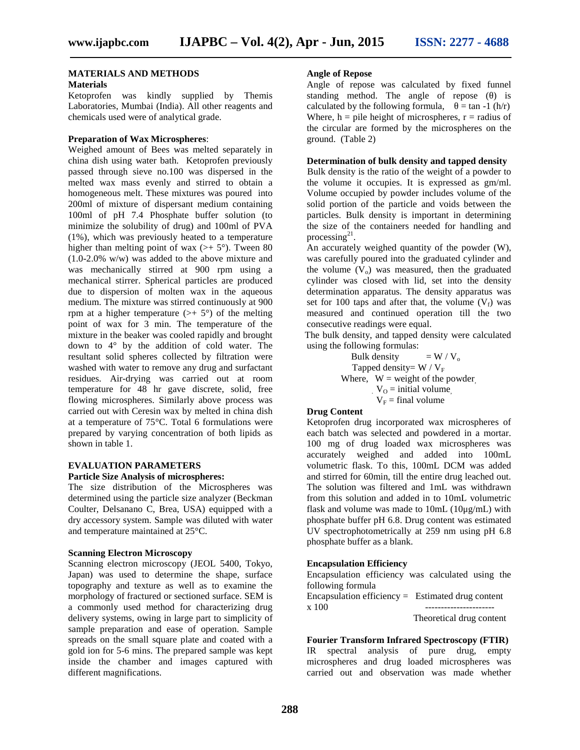# **MATERIALS AND METHODS**

#### **Materials**

Ketoprofen was kindly supplied by Themis Laboratories, Mumbai (India). All other reagents and chemicals used were of analytical grade.

#### **Preparation of Wax Microspheres**:

Weighed amount of Bees was melted separately in china dish using water bath. Ketoprofen previously passed through sieve no.100 was dispersed in the melted wax mass evenly and stirred to obtain a homogeneous melt. These mixtures was poured into 200ml of mixture of dispersant medium containing 100ml of pH 7.4 Phosphate buffer solution (to minimize the solubility of drug) and 100ml of PVA (1%), which was previously heated to a temperature higher than melting point of wax  $(>+5^{\circ})$ . Tween 80 (1.0-2.0% w/w) was added to the above mixture and was mechanically stirred at 900 rpm using a mechanical stirrer. Spherical particles are produced due to dispersion of molten wax in the aqueous medium. The mixture was stirred continuously at 900 rpm at a higher temperature  $(>+5^{\circ})$  of the melting point of wax for 3 min. The temperature of the mixture in the beaker was cooled rapidly and brought down to 4° by the addition of cold water. The resultant solid spheres collected by filtration were washed with water to remove any drug and surfactant residues. Air-drying was carried out at room temperature for 48 hr gave discrete, solid, free flowing microspheres. Similarly above process was carried out with Ceresin wax by melted in china dish at a temperature of 75°C. Total 6 formulations were prepared by varying concentration of both lipids as shown in table 1.

## **EVALUATION PARAMETERS**

#### **Particle Size Analysis of microspheres:**

The size distribution of the Microspheres was determined using the particle size analyzer (Beckman Coulter, Delsanano C, Brea, USA) equipped with a dry accessory system. Sample was diluted with water and temperature maintained at 25°C.

#### **Scanning Electron Microscopy**

Scanning electron microscopy (JEOL 5400, Tokyo, Japan) was used to determine the shape, surface topography and texture as well as to examine the morphology of fractured or sectioned surface. SEM is a commonly used method for characterizing drug delivery systems, owing in large part to simplicity of sample preparation and ease of operation. Sample spreads on the small square plate and coated with a gold ion for 5-6 mins. The prepared sample was kept inside the chamber and images captured with different magnifications.

### **Angle of Repose**

Angle of repose was calculated by fixed funnel standing method. The angle of repose () is calculated by the following formula,  $= \tan -1$  (h/r) Where,  $h =$  pile height of microspheres,  $r =$  radius of the circular are formed by the microspheres on the ground. (Table 2)

#### **Determination of bulk density and tapped density**

Bulk density is the ratio of the weight of a powder to the volume it occupies. It is expressed as gm/ml. Volume occupied by powder includes volume of the solid portion of the particle and voids between the particles. Bulk density is important in determining the size of the containers needed for handling and processing $^{21}$ . .

An accurately weighed quantity of the powder (W), was carefully poured into the graduated cylinder and the volume  $(V_0)$  was measured, then the graduated cylinder was closed with lid, set into the density determination apparatus. The density apparatus was set for 100 taps and after that, the volume  $(V_f)$  was measured and continued operation till the two consecutive readings were equal.

The bulk density, and tapped density were calculated using the following formulas:

> Bulk density  $= W / V_0$ Tapped density=  $W / V_F$ Where,  $W = weight of the powder$  $V_O$  = initial volume  $V_F$  = final volume

#### **Drug Content**

Ketoprofen drug incorporated wax microspheres of each batch was selected and powdered in a mortar. 100 mg of drug loaded wax microspheres was accurately weighed and added into 100mL volumetric flask. To this, 100mL DCM was added and stirred for 60min, till the entire drug leached out. The solution was filtered and 1mL was withdrawn from this solution and added in to 10mL volumetric flask and volume was made to  $10mL (10\mu g/mL)$  with phosphate buffer pH 6.8. Drug content was estimated UV spectrophotometrically at 259 nm using pH 6.8 phosphate buffer as a blank.

#### **Encapsulation Efficiency**

Encapsulation efficiency was calculated using the following formula Encapsulation efficiency  $=$  Estimated drug content x 100 ---------------------- Theoretical drug content

**Fourier Transform Infrared Spectroscopy (FTIR)** IR spectral analysis of pure drug, empty microspheres and drug loaded microspheres was carried out and observation was made whether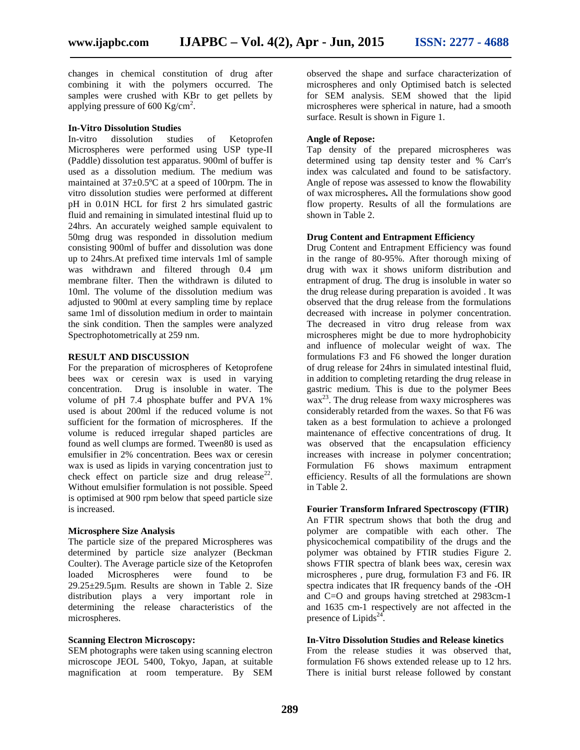changes in chemical constitution of drug after combining it with the polymers occurred. The samples were crushed with KBr to get pellets by applying pressure of 600 Kg/cm<sup>2</sup>.

#### **In-Vitro Dissolution Studies**

In-vitro dissolution studies of Ketoprofen Microspheres were performed using USP type-II (Paddle) dissolution test apparatus. 900ml of buffer is used as a dissolution medium. The medium was maintained at 37±0.5ºC at a speed of 100rpm. The in vitro dissolution studies were performed at different pH in 0.01N HCL for first 2 hrs simulated gastric fluid and remaining in simulated intestinal fluid up to 24hrs. An accurately weighed sample equivalent to 50mg drug was responded in dissolution medium consisting 900ml of buffer and dissolution was done up to 24hrs.At prefixed time intervals 1ml of sample was withdrawn and filtered through 0.4  $\mu$ m membrane filter. Then the withdrawn is diluted to 10ml. The volume of the dissolution medium was adjusted to 900ml at every sampling time by replace same 1ml of dissolution medium in order to maintain the sink condition. Then the samples were analyzed Spectrophotometrically at 259 nm.

#### **RESULT AND DISCUSSION**

For the preparation of microspheres of Ketoprofene bees wax or ceresin wax is used in varying concentration. Drug is insoluble in water. The volume of pH 7.4 phosphate buffer and PVA 1% used is about 200ml if the reduced volume is not sufficient for the formation of microspheres. If the volume is reduced irregular shaped particles are found as well clumps are formed. Tween80 is used as emulsifier in 2% concentration. Bees wax or ceresin wax is used as lipids in varying concentration just to check effect on particle size and drug release<sup>22</sup>. Without emulsifier formulation is not possible. Speed is optimised at 900 rpm below that speed particle size is increased.

#### **Microsphere Size Analysis**

The particle size of the prepared Microspheres was determined by particle size analyzer (Beckman Coulter). The Average particle size of the Ketoprofen loaded Microspheres were found to be 29.25±29.5µm. Results are shown in Table 2. Size distribution plays a very important role in determining the release characteristics of the microspheres.

#### **Scanning Electron Microscopy:**

SEM photographs were taken using scanning electron microscope JEOL 5400, Tokyo, Japan, at suitable magnification at room temperature. By SEM

observed the shape and surface characterization of microspheres and only Optimised batch is selected for SEM analysis. SEM showed that the lipid microspheres were spherical in nature, had a smooth surface. Result is shown in Figure 1.

#### **Angle of Repose:**

Tap density of the prepared microspheres was determined using tap density tester and % Carr's index was calculated and found to be satisfactory. Angle of repose was assessed to know the flowability of wax microspheres**.** All the formulations show good flow property. Results of all the formulations are shown in Table 2.

#### **Drug Content and Entrapment Efficiency**

Drug Content and Entrapment Efficiency was found in the range of 80-95%. After thorough mixing of drug with wax it shows uniform distribution and entrapment of drug. The drug is insoluble in water so the drug release during preparation is avoided . It was observed that the drug release from the formulations decreased with increase in polymer concentration. The decreased in vitro drug release from wax microspheres might be due to more hydrophobicity and influence of molecular weight of wax. The formulations F3 and F6 showed the longer duration of drug release for 24hrs in simulated intestinal fluid, in addition to completing retarding the drug release in gastric medium. This is due to the polymer Bees  $\frac{1}{2}$  wax<sup>23</sup>. The drug release from waxy microspheres was considerably retarded from the waxes. So that F6 was taken as a best formulation to achieve a prolonged maintenance of effective concentrations of drug. It was observed that the encapsulation efficiency increases with increase in polymer concentration; Formulation F6 shows maximum entrapment efficiency. Results of all the formulations are shown in Table 2.

#### **Fourier Transform Infrared Spectroscopy (FTIR)**

An FTIR spectrum shows that both the drug and polymer are compatible with each other. The physicochemical compatibility of the drugs and the polymer was obtained by FTIR studies Figure 2. shows FTIR spectra of blank bees wax, ceresin wax microspheres , pure drug, formulation F3 and F6. IR spectra indicates that IR frequency bands of the -OH and C=O and groups having stretched at 2983cm-1 and 1635 cm-1 respectively are not affected in the presence of Lipids<sup>24</sup>.

#### **In-Vitro Dissolution Studies and Release kinetics**

From the release studies it was observed that, formulation F6 shows extended release up to 12 hrs. There is initial burst release followed by constant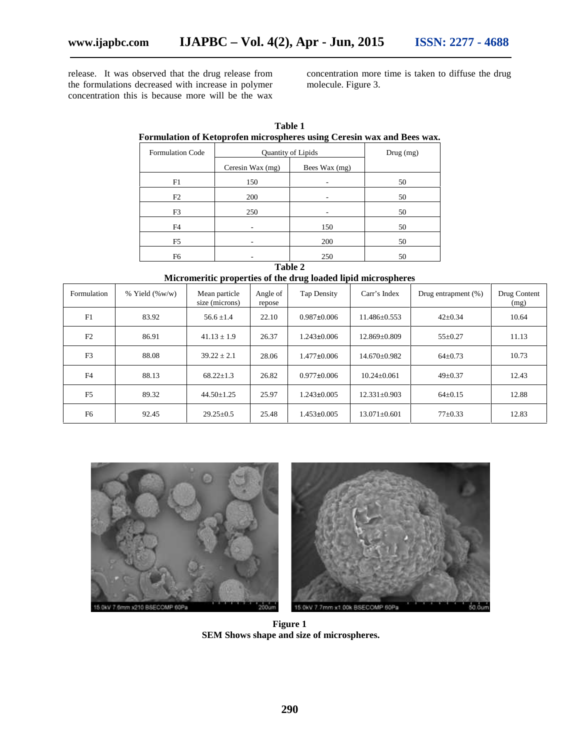release. It was observed that the drug release from the formulations decreased with increase in polymer concentration this is because more will be the wax

concentration more time is taken to diffuse the drug molecule. Figure 3.

| Formulation of Ketoprolen microspheres using Ceresin wax and bees wax. |                           |               |    |  |  |  |  |
|------------------------------------------------------------------------|---------------------------|---------------|----|--|--|--|--|
| <b>Formulation Code</b>                                                | <b>Quantity of Lipids</b> | Drug (mg)     |    |  |  |  |  |
|                                                                        | Ceresin Wax (mg)          | Bees Wax (mg) |    |  |  |  |  |
| F1                                                                     | 150                       |               | 50 |  |  |  |  |
| F2                                                                     | 200                       |               | 50 |  |  |  |  |
| F <sub>3</sub>                                                         | 250                       |               | 50 |  |  |  |  |
| F4                                                                     |                           | 150           | 50 |  |  |  |  |
| F5                                                                     |                           | 200           | 50 |  |  |  |  |
| F6                                                                     |                           | 250           | 50 |  |  |  |  |

**Table 1 Formulation of Ketoprofen microspheres using Ceresin wax and Bees wax.**

## **Table 2 Micromeritic properties of the drug loaded lipid microspheres**

| Formulation    | $%$ Yield $(\%w/w)$ | Mean particle<br>size (microns) | Angle of<br>repose | <b>Tap Density</b> | Carr's Index       | Drug entrapment (%) | Drug Content<br>(mg) |
|----------------|---------------------|---------------------------------|--------------------|--------------------|--------------------|---------------------|----------------------|
| F1             | 83.92               | $56.6 \pm 1.4$                  | 22.10              | $0.987\pm0.006$    | $11.486 \pm 0.553$ | $42 \pm 0.34$       | 10.64                |
| F2             | 86.91               | $41.13 \pm 1.9$                 | 26.37              | $1.243 \pm 0.006$  | 12.869±0.809       | $55 \pm 0.27$       | 11.13                |
| F <sub>3</sub> | 88.08               | $39.22 \pm 2.1$                 | 28.06              | $1.477 \pm 0.006$  | 14.670±0.982       | $64\pm0.73$         | 10.73                |
| F <sub>4</sub> | 88.13               | $68.22 + 1.3$                   | 26.82              | $0.977 \pm 0.006$  | $10.24 \pm 0.061$  | $49 \pm 0.37$       | 12.43                |
| F <sub>5</sub> | 89.32               | $44.50 \pm 1.25$                | 25.97              | $1.243 \pm 0.005$  | $12.331 \pm 0.903$ | $64\pm0.15$         | 12.88                |
| F <sub>6</sub> | 92.45               | $29.25 \pm 0.5$                 | 25.48              | $1.453 \pm 0.005$  | $13.071 \pm 0.601$ | $77+0.33$           | 12.83                |



**Figure 1 SEM Shows shape and size of microspheres.**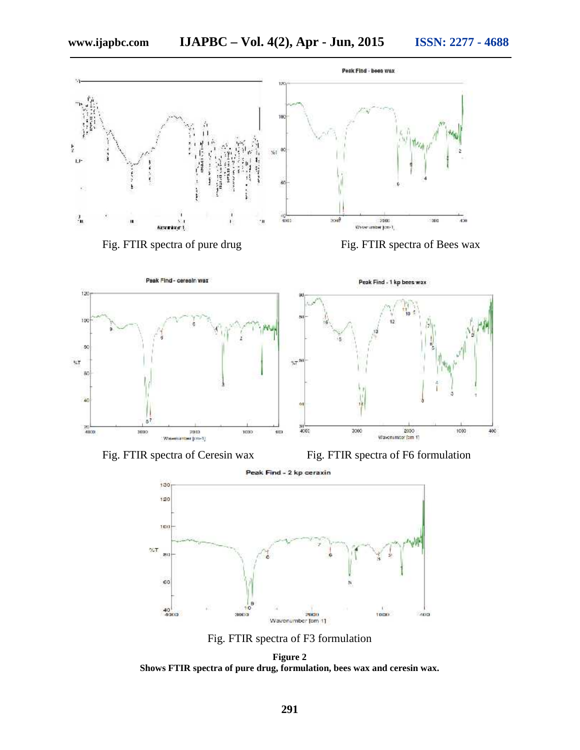

Fig. FTIR spectra of Ceresin wax Fig. FTIR spectra of F6 formulation

Peak Find - 2 kp ceraxin



Fig. FTIR spectra of F3 formulation

**Figure 2 Shows FTIR spectra of pure drug, formulation, bees wax and ceresin wax.**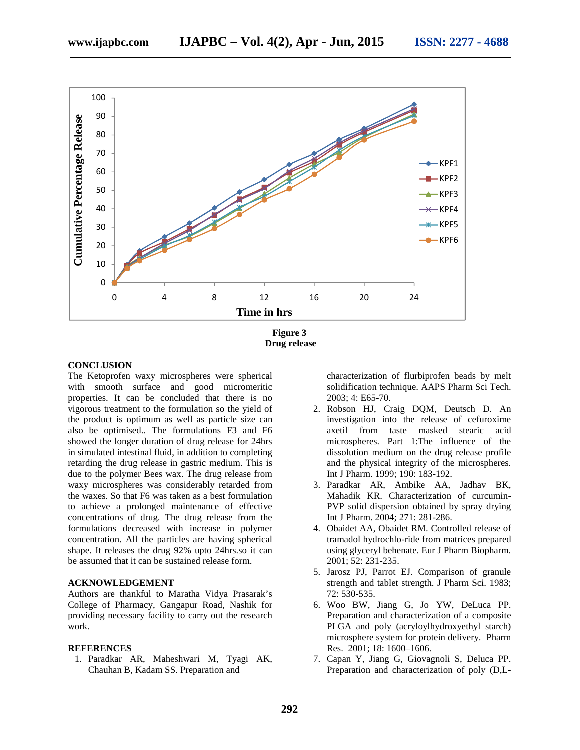

**Figure 3 Drug release**

#### **CONCLUSION**

The Ketoprofen waxy microspheres were spherical with smooth surface and good micromeritic properties. It can be concluded that there is no vigorous treatment to the formulation so the yield of the product is optimum as well as particle size can also be optimised.. The formulations F3 and F6 showed the longer duration of drug release for 24hrs in simulated intestinal fluid, in addition to completing retarding the drug release in gastric medium. This is due to the polymer Bees wax. The drug release from waxy microspheres was considerably retarded from the waxes. So that F6 was taken as a best formulation to achieve a prolonged maintenance of effective concentrations of drug. The drug release from the formulations decreased with increase in polymer concentration. All the particles are having spherical shape. It releases the drug 92% upto 24hrs.so it can be assumed that it can be sustained release form.

#### **ACKNOWLEDGEMENT**

Authors are thankful to Maratha Vidya Prasarak's College of Pharmacy, Gangapur Road, Nashik for providing necessary facility to carry out the research work.

#### **REFERENCES**

1. Paradkar AR, Maheshwari M, Tyagi AK, Chauhan B, Kadam SS. Preparation and

characterization of flurbiprofen beads by melt solidification technique. AAPS Pharm Sci Tech. 2003; 4: E65-70.

- 2. Robson HJ, Craig DQM, Deutsch D. An investigation into the release of cefuroxime axetil from taste masked stearic acid microspheres. Part 1:The influence of the dissolution medium on the drug release profile and the physical integrity of the microspheres. Int J Pharm. 1999; 190: 183-192.
- 3. Paradkar AR, Ambike AA, Jadhav BK, Mahadik KR. Characterization of curcumin- PVP solid dispersion obtained by spray drying Int J Pharm. 2004; 271: 281-286.
- 4. Obaidet AA, Obaidet RM. Controlled release of tramadol hydrochlo-ride from matrices prepared using glyceryl behenate. Eur J Pharm Biopharm. 2001; 52: 231-235.
- 5. Jarosz PJ, Parrot EJ. Comparison of granule strength and tablet strength. J Pharm Sci. 1983; 72: 530-535.
- 6. Woo BW, Jiang G, Jo YW, DeLuca PP. Preparation and characterization of a composite PLGA and poly (acryloylhydroxyethyl starch) microsphere system for protein delivery. Pharm Res. 2001; 18: 1600–1606.
- 7. Capan Y, Jiang G, Giovagnoli S, Deluca PP. Preparation and characterization of poly (D,L-